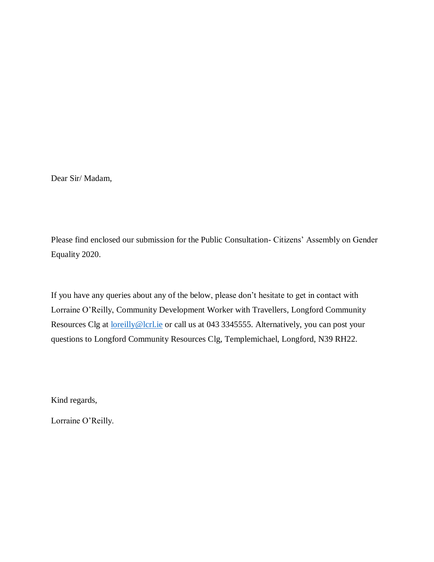Dear Sir/ Madam,

Please find enclosed our submission for the Public Consultation- Citizens' Assembly on Gender Equality 2020.

If you have any queries about any of the below, please don't hesitate to get in contact with Lorraine O'Reilly, Community Development Worker with Travellers, Longford Community Resources Clg at [loreilly@lcrl.ie](mailto:loreilly@lcrl.ie) or call us at 043 3345555. Alternatively, you can post your questions to Longford Community Resources Clg, Templemichael, Longford, N39 RH22.

Kind regards,

Lorraine O'Reilly.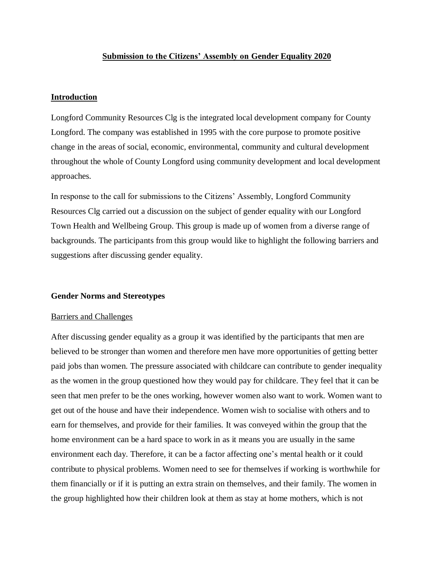# **Submission to the Citizens' Assembly on Gender Equality 2020**

# **Introduction**

Longford Community Resources Clg is the integrated local development company for County Longford. The company was established in 1995 with the core purpose to promote positive change in the areas of social, economic, environmental, community and cultural development throughout the whole of County Longford using community development and local development approaches.

In response to the call for submissions to the Citizens' Assembly, Longford Community Resources Clg carried out a discussion on the subject of gender equality with our Longford Town Health and Wellbeing Group. This group is made up of women from a diverse range of backgrounds. The participants from this group would like to highlight the following barriers and suggestions after discussing gender equality.

# **Gender Norms and Stereotypes**

# Barriers and Challenges

After discussing gender equality as a group it was identified by the participants that men are believed to be stronger than women and therefore men have more opportunities of getting better paid jobs than women. The pressure associated with childcare can contribute to gender inequality as the women in the group questioned how they would pay for childcare. They feel that it can be seen that men prefer to be the ones working, however women also want to work. Women want to get out of the house and have their independence. Women wish to socialise with others and to earn for themselves, and provide for their families. It was conveyed within the group that the home environment can be a hard space to work in as it means you are usually in the same environment each day. Therefore, it can be a factor affecting one's mental health or it could contribute to physical problems. Women need to see for themselves if working is worthwhile for them financially or if it is putting an extra strain on themselves, and their family. The women in the group highlighted how their children look at them as stay at home mothers, which is not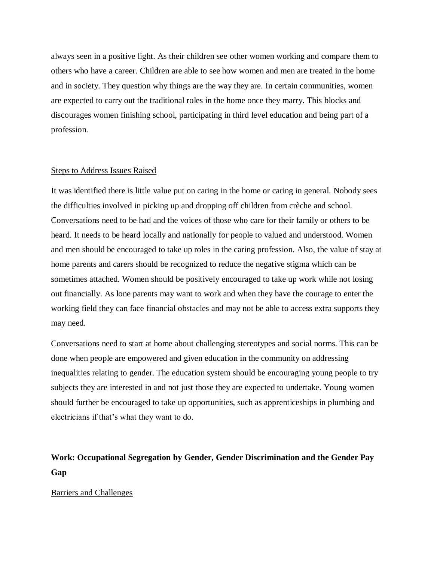always seen in a positive light. As their children see other women working and compare them to others who have a career. Children are able to see how women and men are treated in the home and in society. They question why things are the way they are. In certain communities, women are expected to carry out the traditional roles in the home once they marry. This blocks and discourages women finishing school, participating in third level education and being part of a profession.

# Steps to Address Issues Raised

It was identified there is little value put on caring in the home or caring in general. Nobody sees the difficulties involved in picking up and dropping off children from crèche and school. Conversations need to be had and the voices of those who care for their family or others to be heard. It needs to be heard locally and nationally for people to valued and understood. Women and men should be encouraged to take up roles in the caring profession. Also, the value of stay at home parents and carers should be recognized to reduce the negative stigma which can be sometimes attached. Women should be positively encouraged to take up work while not losing out financially. As lone parents may want to work and when they have the courage to enter the working field they can face financial obstacles and may not be able to access extra supports they may need.

Conversations need to start at home about challenging stereotypes and social norms. This can be done when people are empowered and given education in the community on addressing inequalities relating to gender. The education system should be encouraging young people to try subjects they are interested in and not just those they are expected to undertake. Young women should further be encouraged to take up opportunities, such as apprenticeships in plumbing and electricians if that's what they want to do.

# **Work: Occupational Segregation by Gender, Gender Discrimination and the Gender Pay Gap**

# Barriers and Challenges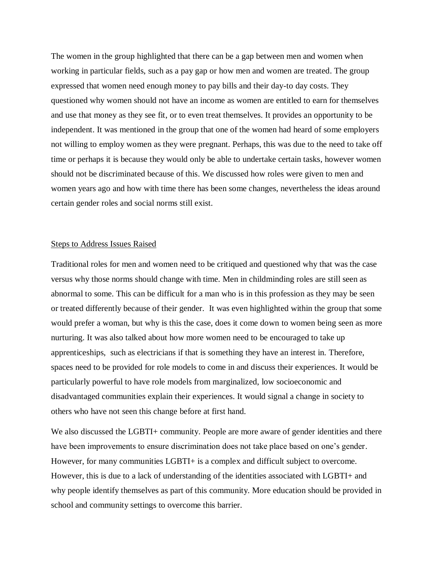The women in the group highlighted that there can be a gap between men and women when working in particular fields, such as a pay gap or how men and women are treated. The group expressed that women need enough money to pay bills and their day-to day costs. They questioned why women should not have an income as women are entitled to earn for themselves and use that money as they see fit, or to even treat themselves. It provides an opportunity to be independent. It was mentioned in the group that one of the women had heard of some employers not willing to employ women as they were pregnant. Perhaps, this was due to the need to take off time or perhaps it is because they would only be able to undertake certain tasks, however women should not be discriminated because of this. We discussed how roles were given to men and women years ago and how with time there has been some changes, nevertheless the ideas around certain gender roles and social norms still exist.

# Steps to Address Issues Raised

Traditional roles for men and women need to be critiqued and questioned why that was the case versus why those norms should change with time. Men in childminding roles are still seen as abnormal to some. This can be difficult for a man who is in this profession as they may be seen or treated differently because of their gender. It was even highlighted within the group that some would prefer a woman, but why is this the case, does it come down to women being seen as more nurturing. It was also talked about how more women need to be encouraged to take up apprenticeships, such as electricians if that is something they have an interest in. Therefore, spaces need to be provided for role models to come in and discuss their experiences. It would be particularly powerful to have role models from marginalized, low socioeconomic and disadvantaged communities explain their experiences. It would signal a change in society to others who have not seen this change before at first hand.

We also discussed the LGBTI+ community. People are more aware of gender identities and there have been improvements to ensure discrimination does not take place based on one's gender. However, for many communities LGBTI+ is a complex and difficult subject to overcome. However, this is due to a lack of understanding of the identities associated with LGBTI+ and why people identify themselves as part of this community. More education should be provided in school and community settings to overcome this barrier.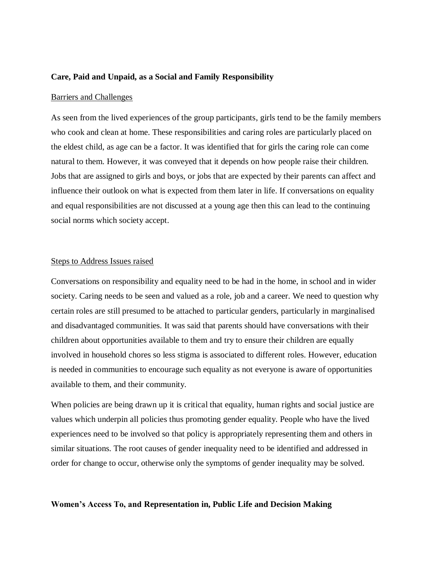#### **Care, Paid and Unpaid, as a Social and Family Responsibility**

#### Barriers and Challenges

As seen from the lived experiences of the group participants, girls tend to be the family members who cook and clean at home. These responsibilities and caring roles are particularly placed on the eldest child, as age can be a factor. It was identified that for girls the caring role can come natural to them. However, it was conveyed that it depends on how people raise their children. Jobs that are assigned to girls and boys, or jobs that are expected by their parents can affect and influence their outlook on what is expected from them later in life. If conversations on equality and equal responsibilities are not discussed at a young age then this can lead to the continuing social norms which society accept.

# Steps to Address Issues raised

Conversations on responsibility and equality need to be had in the home, in school and in wider society. Caring needs to be seen and valued as a role, job and a career. We need to question why certain roles are still presumed to be attached to particular genders, particularly in marginalised and disadvantaged communities. It was said that parents should have conversations with their children about opportunities available to them and try to ensure their children are equally involved in household chores so less stigma is associated to different roles. However, education is needed in communities to encourage such equality as not everyone is aware of opportunities available to them, and their community.

When policies are being drawn up it is critical that equality, human rights and social justice are values which underpin all policies thus promoting gender equality. People who have the lived experiences need to be involved so that policy is appropriately representing them and others in similar situations. The root causes of gender inequality need to be identified and addressed in order for change to occur, otherwise only the symptoms of gender inequality may be solved.

#### **Women's Access To, and Representation in, Public Life and Decision Making**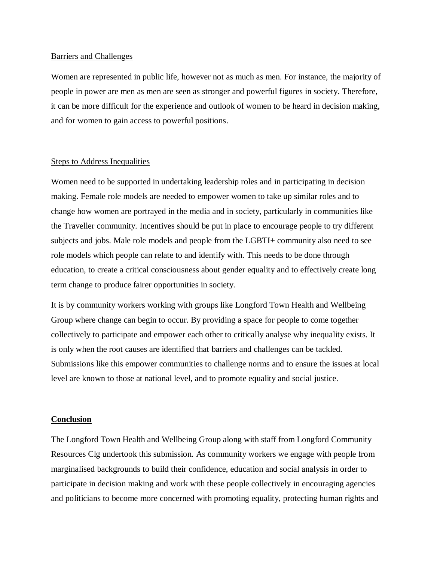## Barriers and Challenges

Women are represented in public life, however not as much as men. For instance, the majority of people in power are men as men are seen as stronger and powerful figures in society. Therefore, it can be more difficult for the experience and outlook of women to be heard in decision making, and for women to gain access to powerful positions.

## Steps to Address Inequalities

Women need to be supported in undertaking leadership roles and in participating in decision making. Female role models are needed to empower women to take up similar roles and to change how women are portrayed in the media and in society, particularly in communities like the Traveller community. Incentives should be put in place to encourage people to try different subjects and jobs. Male role models and people from the LGBTI+ community also need to see role models which people can relate to and identify with. This needs to be done through education, to create a critical consciousness about gender equality and to effectively create long term change to produce fairer opportunities in society.

It is by community workers working with groups like Longford Town Health and Wellbeing Group where change can begin to occur. By providing a space for people to come together collectively to participate and empower each other to critically analyse why inequality exists. It is only when the root causes are identified that barriers and challenges can be tackled. Submissions like this empower communities to challenge norms and to ensure the issues at local level are known to those at national level, and to promote equality and social justice.

#### **Conclusion**

The Longford Town Health and Wellbeing Group along with staff from Longford Community Resources Clg undertook this submission. As community workers we engage with people from marginalised backgrounds to build their confidence, education and social analysis in order to participate in decision making and work with these people collectively in encouraging agencies and politicians to become more concerned with promoting equality, protecting human rights and